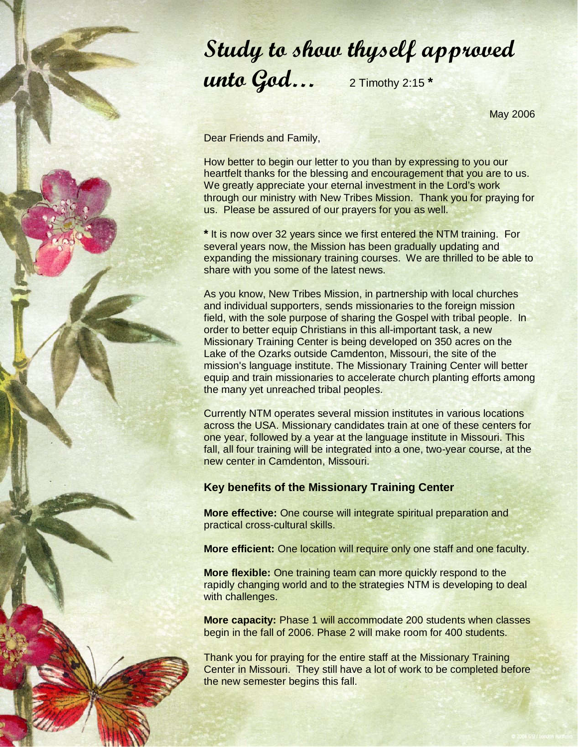## Study to show thyself approved unto God… 2 Timothy 2:15 **\***

May 2006

Dear Friends and Family,

How better to begin our letter to you than by expressing to you our heartfelt thanks for the blessing and encouragement that you are to us. We greatly appreciate your eternal investment in the Lord's work through our ministry with New Tribes Mission. Thank you for praying for us. Please be assured of our prayers for you as well.

**\*** It is now over 32 years since we first entered the NTM training. For several years now, the Mission has been gradually updating and expanding the missionary training courses. We are thrilled to be able to share with you some of the latest news.

As you know, New Tribes Mission, in partnership with local churches and individual supporters, sends missionaries to the foreign mission field, with the sole purpose of sharing the Gospel with tribal people. In order to better equip Christians in this all-important task, a new Missionary Training Center is being developed on 350 acres on the Lake of the Ozarks outside Camdenton, Missouri, the site of the mission's language institute. The Missionary Training Center will better equip and train missionaries to accelerate church planting efforts among the many yet unreached tribal peoples.

Currently NTM operates several mission institutes in various locations across the USA. Missionary candidates train at one of these centers for one year, followed by a year at the language institute in Missouri. This fall, all four training will be integrated into a one, two-year course, at the new center in Camdenton, Missouri.

## **Key benefits of the Missionary Training Center**

**More effective:** One course will integrate spiritual preparation and practical cross-cultural skills.

**More efficient:** One location will require only one staff and one faculty.

**More flexible:** One training team can more quickly respond to the rapidly changing world and to the strategies NTM is developing to deal with challenges.

**More capacity:** Phase 1 will accommodate 200 students when classes begin in the fall of 2006. Phase 2 will make room for 400 students.

Thank you for praying for the entire staff at the Missionary Training Center in Missouri. They still have a lot of work to be completed before the new semester begins this fall.